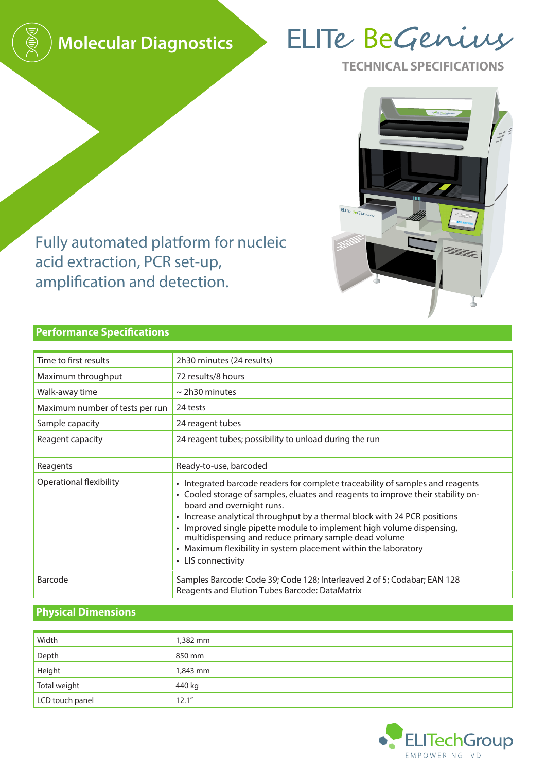

# ELITe BeGenius

**TECHNICAL SPECIFICATIONS**



Fully automated platform for nucleic acid extraction, PCR set-up, amplification and detection.

## **Performance Specifications**

| Time to first results           | 2h30 minutes (24 results)                                                                                                                                                                                                                                                                                                                                                                                                                                                                               |
|---------------------------------|---------------------------------------------------------------------------------------------------------------------------------------------------------------------------------------------------------------------------------------------------------------------------------------------------------------------------------------------------------------------------------------------------------------------------------------------------------------------------------------------------------|
| Maximum throughput              | 72 results/8 hours                                                                                                                                                                                                                                                                                                                                                                                                                                                                                      |
| Walk-away time                  | $\sim$ 2h30 minutes                                                                                                                                                                                                                                                                                                                                                                                                                                                                                     |
| Maximum number of tests per run | 24 tests                                                                                                                                                                                                                                                                                                                                                                                                                                                                                                |
| Sample capacity                 | 24 reagent tubes                                                                                                                                                                                                                                                                                                                                                                                                                                                                                        |
| Reagent capacity                | 24 reagent tubes; possibility to unload during the run                                                                                                                                                                                                                                                                                                                                                                                                                                                  |
| Reagents                        | Ready-to-use, barcoded                                                                                                                                                                                                                                                                                                                                                                                                                                                                                  |
| <b>Operational flexibility</b>  | • Integrated barcode readers for complete traceability of samples and reagents<br>• Cooled storage of samples, eluates and reagents to improve their stability on-<br>board and overnight runs.<br>• Increase analytical throughput by a thermal block with 24 PCR positions<br>· Improved single pipette module to implement high volume dispensing,<br>multidispensing and reduce primary sample dead volume<br>• Maximum flexibility in system placement within the laboratory<br>• LIS connectivity |
| Barcode                         | Samples Barcode: Code 39; Code 128; Interleaved 2 of 5; Codabar; EAN 128<br>Reagents and Elution Tubes Barcode: DataMatrix                                                                                                                                                                                                                                                                                                                                                                              |

# **Physical Dimensions**

| Width           | 1,382 mm |
|-----------------|----------|
| Depth           | 850 mm   |
| Height          | 1,843 mm |
| Total weight    | 440 kg   |
| LCD touch panel | 12.1"    |